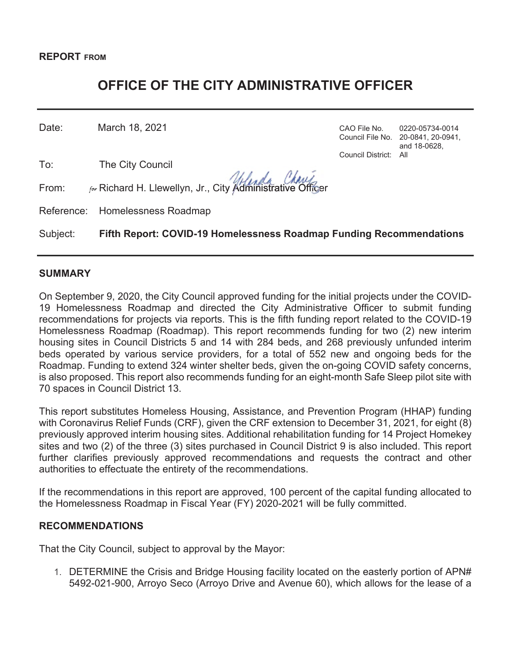# **OFFICE OF THE CITY ADMINISTRATIVE OFFICER**

Date: March 18, 2021 **CAO File No.** 0220-05734-0014

To: The City Council

From:  $r_{\text{for}}$  Richard H. Llewellyn, Jr., City Administrative Officer

Reference: Homelessness Roadmap

Subject: **Fifth Report: COVID-19 Homelessness Roadmap Funding Recommendations** 

## **SUMMARY**

On September 9, 2020, the City Council approved funding for the initial projects under the COVID-19 Homelessness Roadmap and directed the City Administrative Officer to submit funding recommendations for projects via reports. This is the fifth funding report related to the COVID-19 Homelessness Roadmap (Roadmap). This report recommends funding for two (2) new interim housing sites in Council Districts 5 and 14 with 284 beds, and 268 previously unfunded interim beds operated by various service providers, for a total of 552 new and ongoing beds for the Roadmap. Funding to extend 324 winter shelter beds, given the on-going COVID safety concerns, is also proposed. This report also recommends funding for an eight-month Safe Sleep pilot site with 70 spaces in Council District 13.

This report substitutes Homeless Housing, Assistance, and Prevention Program (HHAP) funding with Coronavirus Relief Funds (CRF), given the CRF extension to December 31, 2021, for eight (8) previously approved interim housing sites. Additional rehabilitation funding for 14 Project Homekey sites and two (2) of the three (3) sites purchased in Council District 9 is also included. This report further clarifies previously approved recommendations and requests the contract and other authorities to effectuate the entirety of the recommendations.

If the recommendations in this report are approved, 100 percent of the capital funding allocated to the Homelessness Roadmap in Fiscal Year (FY) 2020-2021 will be fully committed.

#### **RECOMMENDATIONS**

That the City Council, subject to approval by the Mayor:

1. DETERMINE the Crisis and Bridge Housing facility located on the easterly portion of APN# 5492-021-900, Arroyo Seco (Arroyo Drive and Avenue 60), which allows for the lease of a

Council File No. 20-0841, 20-0941, and 18-0628, Council District: All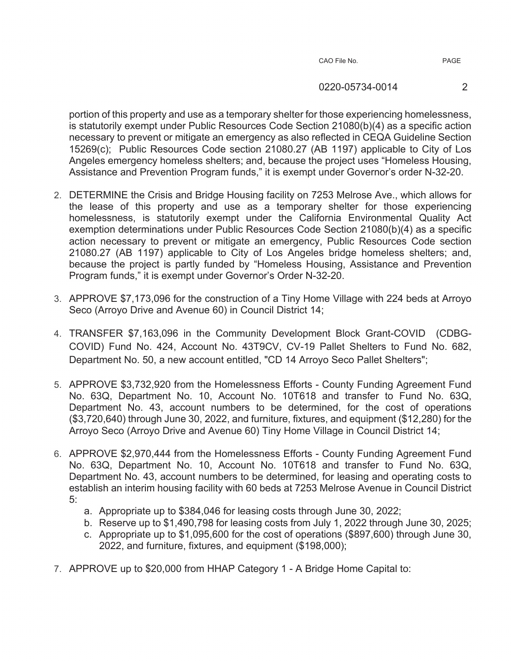#### 0220-05734-0014 2

portion of this property and use as a temporary shelter for those experiencing homelessness, is statutorily exempt under Public Resources Code Section 21080(b)(4) as a specific action necessary to prevent or mitigate an emergency as also reflected in CEQA Guideline Section 15269(c); Public Resources Code section 21080.27 (AB 1197) applicable to City of Los Angeles emergency homeless shelters; and, because the project uses "Homeless Housing, Assistance and Prevention Program funds," it is exempt under Governor's order N-32-20.

- 2. DETERMINE the Crisis and Bridge Housing facility on 7253 Melrose Ave., which allows for the lease of this property and use as a temporary shelter for those experiencing homelessness, is statutorily exempt under the California Environmental Quality Act exemption determinations under Public Resources Code Section 21080(b)(4) as a specific action necessary to prevent or mitigate an emergency, Public Resources Code section 21080.27 (AB 1197) applicable to City of Los Angeles bridge homeless shelters; and, because the project is partly funded by "Homeless Housing, Assistance and Prevention Program funds," it is exempt under Governor's Order N-32-20.
- 3. APPROVE \$7,173,096 for the construction of a Tiny Home Village with 224 beds at Arroyo Seco (Arroyo Drive and Avenue 60) in Council District 14;
- 4. TRANSFER \$7,163,096 in the Community Development Block Grant-COVID (CDBG-COVID) Fund No. 424, Account No. 43T9CV, CV-19 Pallet Shelters to Fund No. 682, Department No. 50, a new account entitled, "CD 14 Arroyo Seco Pallet Shelters";
- 5. APPROVE \$3,732,920 from the Homelessness Efforts County Funding Agreement Fund No. 63Q, Department No. 10, Account No. 10T618 and transfer to Fund No. 63Q, Department No. 43, account numbers to be determined, for the cost of operations (\$3,720,640) through June 30, 2022, and furniture, fixtures, and equipment (\$12,280) for the Arroyo Seco (Arroyo Drive and Avenue 60) Tiny Home Village in Council District 14;
- 6. APPROVE \$2,970,444 from the Homelessness Efforts County Funding Agreement Fund No. 63Q, Department No. 10, Account No. 10T618 and transfer to Fund No. 63Q, Department No. 43, account numbers to be determined, for leasing and operating costs to establish an interim housing facility with 60 beds at 7253 Melrose Avenue in Council District 5:
	- a. Appropriate up to \$384,046 for leasing costs through June 30, 2022;
	- b. Reserve up to \$1,490,798 for leasing costs from July 1, 2022 through June 30, 2025;
	- c. Appropriate up to \$1,095,600 for the cost of operations (\$897,600) through June 30, 2022, and furniture, fixtures, and equipment (\$198,000);
- 7. APPROVE up to \$20,000 from HHAP Category 1 A Bridge Home Capital to: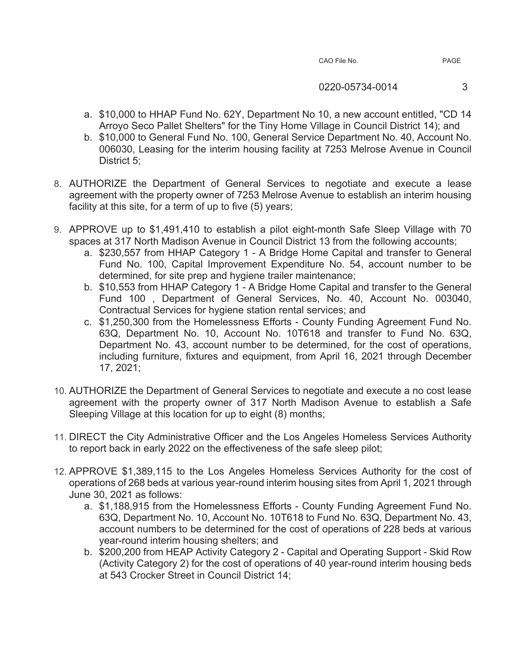| CAO File No. |  |  |  |
|--------------|--|--|--|
|--------------|--|--|--|

- a. \$10,000 to HHAP Fund No. 62Y, Department No 10, a new account entitled, "CD 14 Arroyo Seco Pallet Shelters" for the Tiny Home Village in Council District 14); and
- b. \$10,000 to General Fund No. 100, General Service Department No. 40, Account No. 006030, Leasing for the interim housing facility at 7253 Melrose Avenue in Council District 5;
- 8. AUTHORIZE the Department of General Services to negotiate and execute a lease agreement with the property owner of 7253 Melrose Avenue to establish an interim housing facility at this site, for a term of up to five (5) years;
- 9. APPROVE up to \$1,491,410 to establish a pilot eight-month Safe Sleep Village with 70 spaces at 317 North Madison Avenue in Council District 13 from the following accounts;
	- a. \$230,557 from HHAP Category 1 A Bridge Home Capital and transfer to General Fund No. 100, Capital Improvement Expenditure No. 54, account number to be determined, for site prep and hygiene trailer maintenance;
	- b. \$10,553 from HHAP Category 1 A Bridge Home Capital and transfer to the General Fund 100 , Department of General Services, No. 40, Account No. 003040, Contractual Services for hygiene station rental services; and
	- c. \$1,250,300 from the Homelessness Efforts County Funding Agreement Fund No. 63Q, Department No. 10, Account No. 10T618 and transfer to Fund No. 63Q, Department No. 43, account number to be determined, for the cost of operations, including furniture, fixtures and equipment, from April 16, 2021 through December 17, 2021;
- 10. AUTHORIZE the Department of General Services to negotiate and execute a no cost lease agreement with the property owner of 317 North Madison Avenue to establish a Safe Sleeping Village at this location for up to eight (8) months;
- 11. DIRECT the City Administrative Officer and the Los Angeles Homeless Services Authority to report back in early 2022 on the effectiveness of the safe sleep pilot;
- 12. APPROVE \$1,389,115 to the Los Angeles Homeless Services Authority for the cost of operations of 268 beds at various year-round interim housing sites from April 1, 2021 through June 30, 2021 as follows:
	- a. \$1,188,915 from the Homelessness Efforts County Funding Agreement Fund No. 63Q, Department No. 10, Account No. 10T618 to Fund No. 63Q, Department No. 43, account numbers to be determined for the cost of operations of 228 beds at various year-round interim housing shelters; and
	- b. \$200,200 from HEAP Activity Category 2 Capital and Operating Support Skid Row (Activity Category 2) for the cost of operations of 40 year-round interim housing beds at 543 Crocker Street in Council District 14;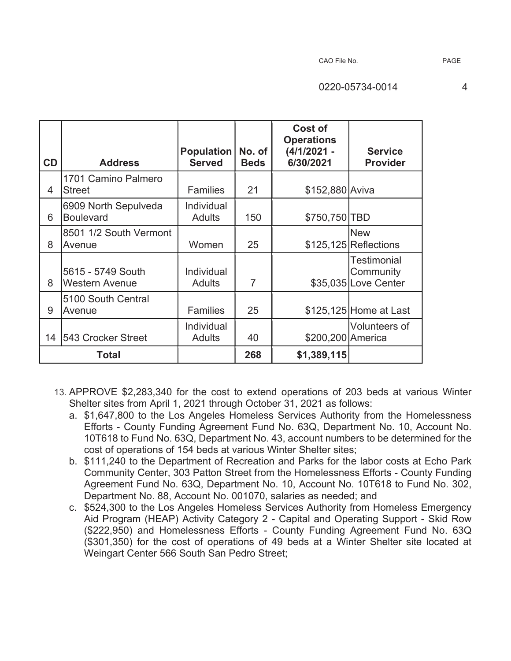| <b>CD</b> | <b>Address</b>                             | <b>Population</b><br><b>Served</b> | No. of<br><b>Beds</b> | Cost of<br><b>Operations</b><br>$(4/1/2021 -$<br>6/30/2021 | <b>Service</b><br><b>Provider</b>                |
|-----------|--------------------------------------------|------------------------------------|-----------------------|------------------------------------------------------------|--------------------------------------------------|
| 4         | 1701 Camino Palmero<br><b>Street</b>       | <b>Families</b>                    | 21                    | \$152,880 Aviva                                            |                                                  |
| 6         | 6909 North Sepulveda<br><b>Boulevard</b>   | Individual<br><b>Adults</b>        | 150                   | \$750,750 TBD                                              |                                                  |
| 8         | 8501 1/2 South Vermont<br>Avenue           | Women                              | 25                    |                                                            | <b>New</b><br>$$125,125$ Reflections             |
| 8         | 5615 - 5749 South<br><b>Western Avenue</b> | Individual<br><b>Adults</b>        | $\overline{7}$        |                                                            | Testimonial<br>Community<br>\$35,035 Love Center |
| 9         | 5100 South Central<br>Avenue               | <b>Families</b>                    | 25                    |                                                            | \$125,125 Home at Last                           |
| 14        | 543 Crocker Street                         | Individual<br><b>Adults</b>        | 40                    | \$200,200 America                                          | Volunteers of                                    |
|           | Total                                      |                                    | 268                   | \$1,389,115                                                |                                                  |

- 13. APPROVE \$2,283,340 for the cost to extend operations of 203 beds at various Winter Shelter sites from April 1, 2021 through October 31, 2021 as follows:
	- a. \$1,647,800 to the Los Angeles Homeless Services Authority from the Homelessness Efforts - County Funding Agreement Fund No. 63Q, Department No. 10, Account No. 10T618 to Fund No. 63Q, Department No. 43, account numbers to be determined for the cost of operations of 154 beds at various Winter Shelter sites;
	- b. \$111,240 to the Department of Recreation and Parks for the labor costs at Echo Park Community Center, 303 Patton Street from the Homelessness Efforts - County Funding Agreement Fund No. 63Q, Department No. 10, Account No. 10T618 to Fund No. 302, Department No. 88, Account No. 001070, salaries as needed; and
	- c. \$524,300 to the Los Angeles Homeless Services Authority from Homeless Emergency Aid Program (HEAP) Activity Category 2 - Capital and Operating Support - Skid Row (\$222,950) and Homelessness Efforts - County Funding Agreement Fund No. 63Q (\$301,350) for the cost of operations of 49 beds at a Winter Shelter site located at Weingart Center 566 South San Pedro Street;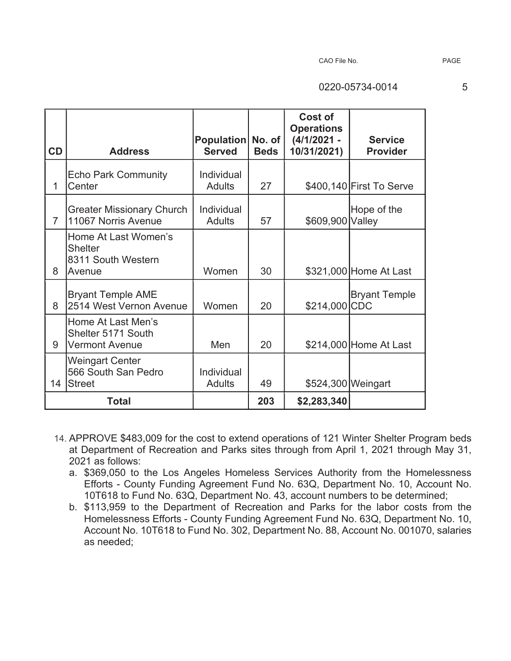|                |                                                                        |                                    |             | Cost of<br><b>Operations</b> |                                   |
|----------------|------------------------------------------------------------------------|------------------------------------|-------------|------------------------------|-----------------------------------|
| CD             | <b>Address</b>                                                         | Population No. of<br><b>Served</b> | <b>Beds</b> | $(4/1/2021 -$<br>10/31/2021) | <b>Service</b><br><b>Provider</b> |
| 1              | <b>Echo Park Community</b><br>Center                                   | Individual<br><b>Adults</b>        | 27          |                              | \$400,140 First To Serve          |
| $\overline{7}$ | <b>Greater Missionary Church</b><br>11067 Norris Avenue                | Individual<br><b>Adults</b>        | 57          | \$609,900 Valley             | Hope of the                       |
| 8              | Home At Last Women's<br><b>Shelter</b><br>8311 South Western<br>Avenue | Women                              | 30          |                              | \$321,000 Home At Last            |
| 8              | <b>Bryant Temple AME</b><br>2514 West Vernon Avenue                    | Women                              | 20          | \$214,000 CDC                | <b>Bryant Temple</b>              |
| 9              | Home At Last Men's<br>Shelter 5171 South<br><b>Vermont Avenue</b>      | Men                                | 20          |                              | \$214,000 Home At Last            |
| 14             | Weingart Center<br>566 South San Pedro<br><b>Street</b>                | Individual<br><b>Adults</b>        | 49          | \$524,300 Weingart           |                                   |
|                | Total                                                                  |                                    | 203         | \$2,283,340                  |                                   |

- 14. APPROVE \$483,009 for the cost to extend operations of 121 Winter Shelter Program beds at Department of Recreation and Parks sites through from April 1, 2021 through May 31, 2021 as follows:
	- a. \$369,050 to the Los Angeles Homeless Services Authority from the Homelessness Efforts - County Funding Agreement Fund No. 63Q, Department No. 10, Account No. 10T618 to Fund No. 63Q, Department No. 43, account numbers to be determined;
	- b. \$113,959 to the Department of Recreation and Parks for the labor costs from the Homelessness Efforts - County Funding Agreement Fund No. 63Q, Department No. 10, Account No. 10T618 to Fund No. 302, Department No. 88, Account No. 001070, salaries as needed;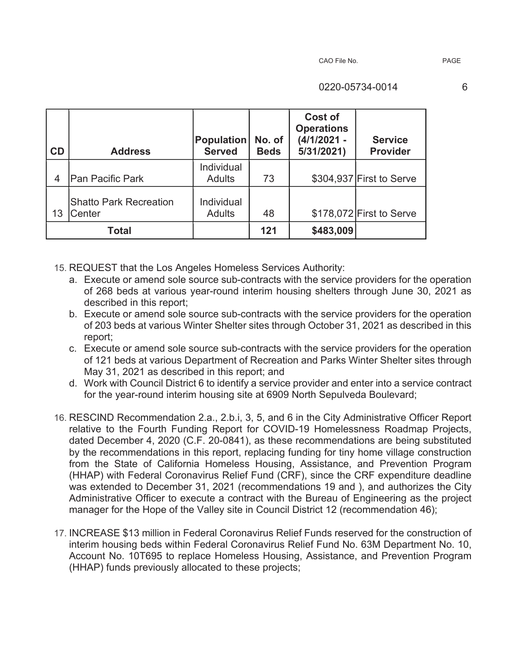| CD             | <b>Address</b>                          | <b>Population</b><br><b>Served</b> | No. of<br><b>Beds</b> | Cost of<br><b>Operations</b><br>$(4/1/2021 -$<br>5/31/2021) | <b>Service</b><br><b>Provider</b> |
|----------------|-----------------------------------------|------------------------------------|-----------------------|-------------------------------------------------------------|-----------------------------------|
| $\overline{4}$ | <b>Pan Pacific Park</b>                 | Individual<br><b>Adults</b>        | 73                    |                                                             | \$304,937 First to Serve          |
| 13             | <b>Shatto Park Recreation</b><br>Center | Individual<br><b>Adults</b>        | 48                    |                                                             | \$178,072 First to Serve          |
|                | <b>Total</b>                            |                                    | 121                   | \$483,009                                                   |                                   |

15. REQUEST that the Los Angeles Homeless Services Authority:

- a. Execute or amend sole source sub-contracts with the service providers for the operation of 268 beds at various year-round interim housing shelters through June 30, 2021 as described in this report;
- b. Execute or amend sole source sub-contracts with the service providers for the operation of 203 beds at various Winter Shelter sites through October 31, 2021 as described in this report;
- c. Execute or amend sole source sub-contracts with the service providers for the operation of 121 beds at various Department of Recreation and Parks Winter Shelter sites through May 31, 2021 as described in this report; and
- d. Work with Council District 6 to identify a service provider and enter into a service contract for the year-round interim housing site at 6909 North Sepulveda Boulevard;
- 16. RESCIND Recommendation 2.a., 2.b.i, 3, 5, and 6 in the City Administrative Officer Report relative to the Fourth Funding Report for COVID-19 Homelessness Roadmap Projects, dated December 4, 2020 (C.F. 20-0841), as these recommendations are being substituted by the recommendations in this report, replacing funding for tiny home village construction from the State of California Homeless Housing, Assistance, and Prevention Program (HHAP) with Federal Coronavirus Relief Fund (CRF), since the CRF expenditure deadline was extended to December 31, 2021 (recommendations 19 and ), and authorizes the City Administrative Officer to execute a contract with the Bureau of Engineering as the project manager for the Hope of the Valley site in Council District 12 (recommendation 46);
- 17. INCREASE \$13 million in Federal Coronavirus Relief Funds reserved for the construction of interim housing beds within Federal Coronavirus Relief Fund No. 63M Department No. 10, Account No. 10T695 to replace Homeless Housing, Assistance, and Prevention Program (HHAP) funds previously allocated to these projects;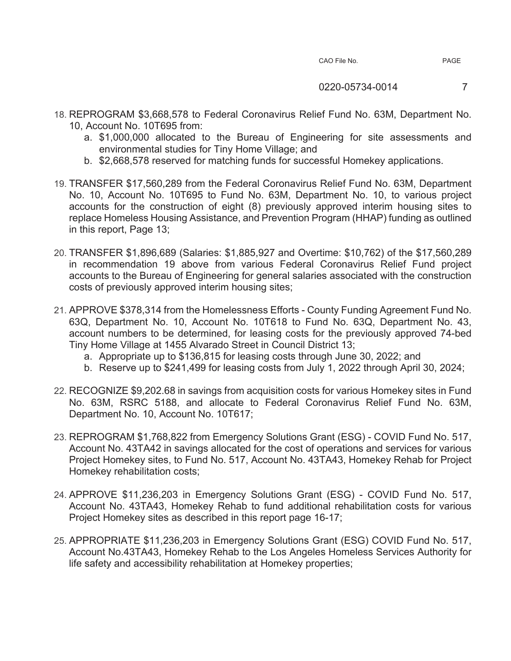- 18. REPROGRAM \$3,668,578 to Federal Coronavirus Relief Fund No. 63M, Department No. 10, Account No. 10T695 from:
	- a. \$1,000,000 allocated to the Bureau of Engineering for site assessments and environmental studies for Tiny Home Village; and
	- b. \$2,668,578 reserved for matching funds for successful Homekey applications.
- 19. TRANSFER \$17,560,289 from the Federal Coronavirus Relief Fund No. 63M, Department No. 10, Account No. 10T695 to Fund No. 63M, Department No. 10, to various project accounts for the construction of eight (8) previously approved interim housing sites to replace Homeless Housing Assistance, and Prevention Program (HHAP) funding as outlined in this report, Page 13;
- 20. TRANSFER \$1,896,689 (Salaries: \$1,885,927 and Overtime: \$10,762) of the \$17,560,289 in recommendation 19 above from various Federal Coronavirus Relief Fund project accounts to the Bureau of Engineering for general salaries associated with the construction costs of previously approved interim housing sites;
- 21. APPROVE \$378,314 from the Homelessness Efforts County Funding Agreement Fund No. 63Q, Department No. 10, Account No. 10T618 to Fund No. 63Q, Department No. 43, account numbers to be determined, for leasing costs for the previously approved 74-bed Tiny Home Village at 1455 Alvarado Street in Council District 13;
	- a. Appropriate up to \$136,815 for leasing costs through June 30, 2022; and
	- b. Reserve up to \$241,499 for leasing costs from July 1, 2022 through April 30, 2024;
- 22. RECOGNIZE \$9,202.68 in savings from acquisition costs for various Homekey sites in Fund No. 63M, RSRC 5188, and allocate to Federal Coronavirus Relief Fund No. 63M, Department No. 10, Account No. 10T617;
- 23. REPROGRAM \$1,768,822 from Emergency Solutions Grant (ESG) COVID Fund No. 517, Account No. 43TA42 in savings allocated for the cost of operations and services for various Project Homekey sites, to Fund No. 517, Account No. 43TA43, Homekey Rehab for Project Homekey rehabilitation costs;
- 24. APPROVE \$11,236,203 in Emergency Solutions Grant (ESG) COVID Fund No. 517, Account No. 43TA43, Homekey Rehab to fund additional rehabilitation costs for various Project Homekey sites as described in this report page 16-17;
- 25. APPROPRIATE \$11,236,203 in Emergency Solutions Grant (ESG) COVID Fund No. 517, Account No.43TA43, Homekey Rehab to the Los Angeles Homeless Services Authority for life safety and accessibility rehabilitation at Homekey properties;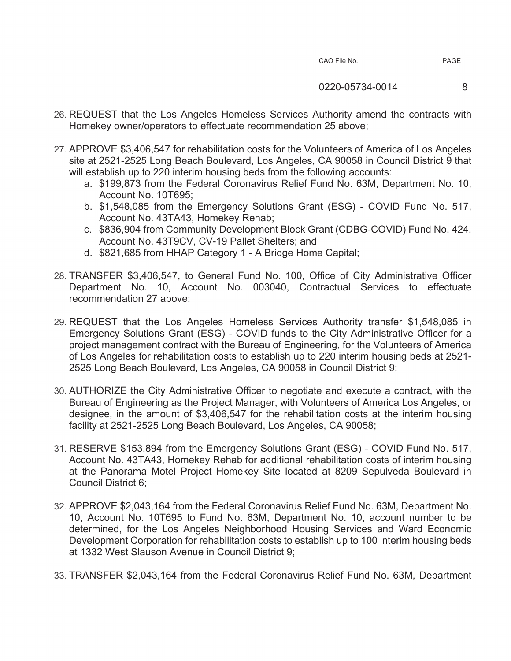- 26. REQUEST that the Los Angeles Homeless Services Authority amend the contracts with Homekey owner/operators to effectuate recommendation 25 above;
- 27. APPROVE \$3,406,547 for rehabilitation costs for the Volunteers of America of Los Angeles site at 2521-2525 Long Beach Boulevard, Los Angeles, CA 90058 in Council District 9 that will establish up to 220 interim housing beds from the following accounts:
	- a. \$199,873 from the Federal Coronavirus Relief Fund No. 63M, Department No. 10, Account No. 10T695;
	- b. \$1,548,085 from the Emergency Solutions Grant (ESG) COVID Fund No. 517, Account No. 43TA43, Homekey Rehab;
	- c. \$836,904 from Community Development Block Grant (CDBG-COVID) Fund No. 424, Account No. 43T9CV, CV-19 Pallet Shelters; and
	- d. \$821,685 from HHAP Category 1 A Bridge Home Capital;
- 28. TRANSFER \$3,406,547, to General Fund No. 100, Office of City Administrative Officer Department No. 10, Account No. 003040, Contractual Services to effectuate recommendation 27 above;
- 29. REQUEST that the Los Angeles Homeless Services Authority transfer \$1,548,085 in Emergency Solutions Grant (ESG) - COVID funds to the City Administrative Officer for a project management contract with the Bureau of Engineering, for the Volunteers of America of Los Angeles for rehabilitation costs to establish up to 220 interim housing beds at 2521- 2525 Long Beach Boulevard, Los Angeles, CA 90058 in Council District 9;
- 30. AUTHORIZE the City Administrative Officer to negotiate and execute a contract, with the Bureau of Engineering as the Project Manager, with Volunteers of America Los Angeles, or designee, in the amount of \$3,406,547 for the rehabilitation costs at the interim housing facility at 2521-2525 Long Beach Boulevard, Los Angeles, CA 90058;
- 31. RESERVE \$153,894 from the Emergency Solutions Grant (ESG) COVID Fund No. 517, Account No. 43TA43, Homekey Rehab for additional rehabilitation costs of interim housing at the Panorama Motel Project Homekey Site located at 8209 Sepulveda Boulevard in Council District 6;
- 32. APPROVE \$2,043,164 from the Federal Coronavirus Relief Fund No. 63M, Department No. 10, Account No. 10T695 to Fund No. 63M, Department No. 10, account number to be determined, for the Los Angeles Neighborhood Housing Services and Ward Economic Development Corporation for rehabilitation costs to establish up to 100 interim housing beds at 1332 West Slauson Avenue in Council District 9;
- 33. TRANSFER \$2,043,164 from the Federal Coronavirus Relief Fund No. 63M, Department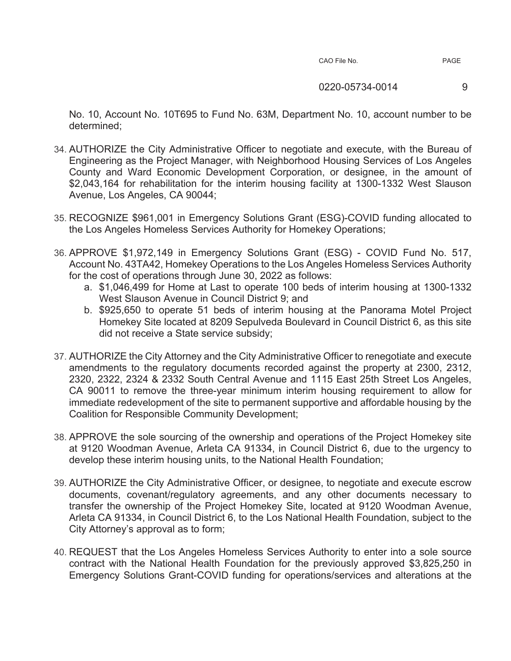#### 0220-05734-0014 9

No. 10, Account No. 10T695 to Fund No. 63M, Department No. 10, account number to be determined;

- 34. AUTHORIZE the City Administrative Officer to negotiate and execute, with the Bureau of Engineering as the Project Manager, with Neighborhood Housing Services of Los Angeles County and Ward Economic Development Corporation, or designee, in the amount of \$2,043,164 for rehabilitation for the interim housing facility at 1300-1332 West Slauson Avenue, Los Angeles, CA 90044;
- 35. RECOGNIZE \$961,001 in Emergency Solutions Grant (ESG)-COVID funding allocated to the Los Angeles Homeless Services Authority for Homekey Operations;
- 36. APPROVE \$1,972,149 in Emergency Solutions Grant (ESG) COVID Fund No. 517, Account No. 43TA42, Homekey Operations to the Los Angeles Homeless Services Authority for the cost of operations through June 30, 2022 as follows:
	- a. \$1,046,499 for Home at Last to operate 100 beds of interim housing at 1300-1332 West Slauson Avenue in Council District 9; and
	- b. \$925,650 to operate 51 beds of interim housing at the Panorama Motel Project Homekey Site located at 8209 Sepulveda Boulevard in Council District 6, as this site did not receive a State service subsidy;
- 37. AUTHORIZE the City Attorney and the City Administrative Officer to renegotiate and execute amendments to the regulatory documents recorded against the property at 2300, 2312, 2320, 2322, 2324 & 2332 South Central Avenue and 1115 East 25th Street Los Angeles, CA 90011 to remove the three-year minimum interim housing requirement to allow for immediate redevelopment of the site to permanent supportive and affordable housing by the Coalition for Responsible Community Development;
- 38. APPROVE the sole sourcing of the ownership and operations of the Project Homekey site at 9120 Woodman Avenue, Arleta CA 91334, in Council District 6, due to the urgency to develop these interim housing units, to the National Health Foundation;
- 39. AUTHORIZE the City Administrative Officer, or designee, to negotiate and execute escrow documents, covenant/regulatory agreements, and any other documents necessary to transfer the ownership of the Project Homekey Site, located at 9120 Woodman Avenue, Arleta CA 91334, in Council District 6, to the Los National Health Foundation, subject to the City Attorney's approval as to form;
- 40. REQUEST that the Los Angeles Homeless Services Authority to enter into a sole source contract with the National Health Foundation for the previously approved \$3,825,250 in Emergency Solutions Grant-COVID funding for operations/services and alterations at the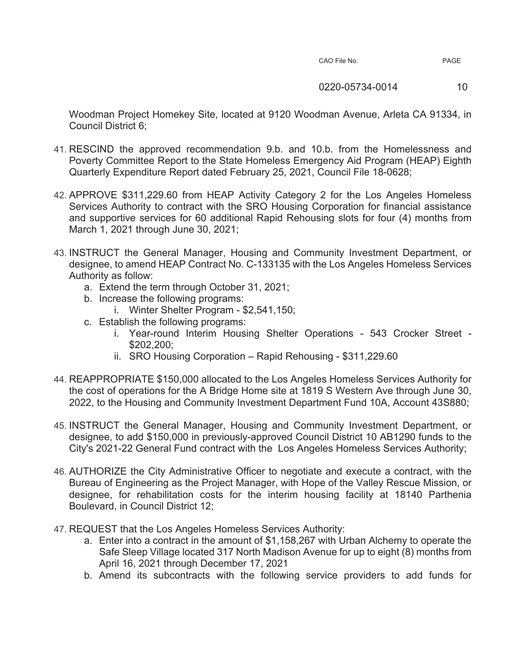| CAO File No. |  |  |
|--------------|--|--|
|--------------|--|--|

0220-05734-0014 10

Woodman Project Homekey Site, located at 9120 Woodman Avenue, Arleta CA 91334, in Council District 6;

- 41. RESCIND the approved recommendation 9.b. and 10.b. from the Homelessness and Poverty Committee Report to the State Homeless Emergency Aid Program (HEAP) Eighth Quarterly Expenditure Report dated February 25, 2021, Council File 18-0628;
- 42. APPROVE \$311,229.60 from HEAP Activity Category 2 for the Los Angeles Homeless Services Authority to contract with the SRO Housing Corporation for financial assistance and supportive services for 60 additional Rapid Rehousing slots for four (4) months from March 1, 2021 through June 30, 2021;
- 43. INSTRUCT the General Manager, Housing and Community Investment Department, or designee, to amend HEAP Contract No. C-133135 with the Los Angeles Homeless Services Authority as follow:
	- a. Extend the term through October 31, 2021;
	- b. Increase the following programs:
		- i. Winter Shelter Program \$2,541,150;
	- c. Establish the following programs:
		- i. Year-round Interim Housing Shelter Operations 543 Crocker Street \$202,200;
		- ii. SRO Housing Corporation Rapid Rehousing \$311,229.60
- 44. REAPPROPRIATE \$150,000 allocated to the Los Angeles Homeless Services Authority for the cost of operations for the A Bridge Home site at 1819 S Western Ave through June 30, 2022, to the Housing and Community Investment Department Fund 10A, Account 43S880;
- 45. INSTRUCT the General Manager, Housing and Community Investment Department, or designee, to add \$150,000 in previously-approved Council District 10 AB1290 funds to the City's 2021-22 General Fund contract with the Los Angeles Homeless Services Authority;
- 46. AUTHORIZE the City Administrative Officer to negotiate and execute a contract, with the Bureau of Engineering as the Project Manager, with Hope of the Valley Rescue Mission, or designee, for rehabilitation costs for the interim housing facility at 18140 Parthenia Boulevard, in Council District 12;
- 47. REQUEST that the Los Angeles Homeless Services Authority:
	- a. Enter into a contract in the amount of \$1,158,267 with Urban Alchemy to operate the Safe Sleep Village located 317 North Madison Avenue for up to eight (8) months from April 16, 2021 through December 17, 2021
	- b. Amend its subcontracts with the following service providers to add funds for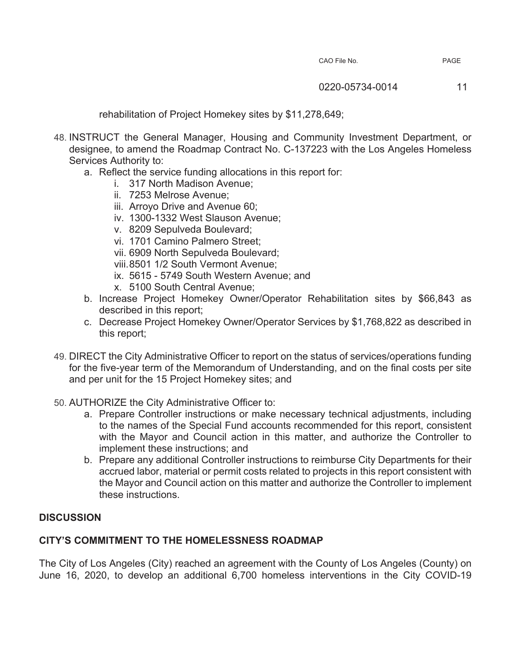rehabilitation of Project Homekey sites by \$11,278,649;

- 48. INSTRUCT the General Manager, Housing and Community Investment Department, or designee, to amend the Roadmap Contract No. C-137223 with the Los Angeles Homeless Services Authority to:
	- a. Reflect the service funding allocations in this report for:
		- i. 317 North Madison Avenue;
		- ii. 7253 Melrose Avenue;
		- iii. Arroyo Drive and Avenue 60;
		- iv. 1300-1332 West Slauson Avenue;
		- v. 8209 Sepulveda Boulevard;
		- vi. 1701 Camino Palmero Street;
		- vii. 6909 North Sepulveda Boulevard;
		- viii. 8501 1/2 South Vermont Avenue;
		- ix. 5615 5749 South Western Avenue; and
		- x. 5100 South Central Avenue;
	- b. Increase Project Homekey Owner/Operator Rehabilitation sites by \$66,843 as described in this report;
	- c. Decrease Project Homekey Owner/Operator Services by \$1,768,822 as described in this report;
- 49. DIRECT the City Administrative Officer to report on the status of services/operations funding for the five-year term of the Memorandum of Understanding, and on the final costs per site and per unit for the 15 Project Homekey sites; and
- 50. AUTHORIZE the City Administrative Officer to:
	- a. Prepare Controller instructions or make necessary technical adjustments, including to the names of the Special Fund accounts recommended for this report, consistent with the Mayor and Council action in this matter, and authorize the Controller to implement these instructions; and
	- b. Prepare any additional Controller instructions to reimburse City Departments for their accrued labor, material or permit costs related to projects in this report consistent with the Mayor and Council action on this matter and authorize the Controller to implement these instructions.

# **DISCUSSION**

# **CITY'S COMMITMENT TO THE HOMELESSNESS ROADMAP**

The City of Los Angeles (City) reached an agreement with the County of Los Angeles (County) on June 16, 2020, to develop an additional 6,700 homeless interventions in the City COVID-19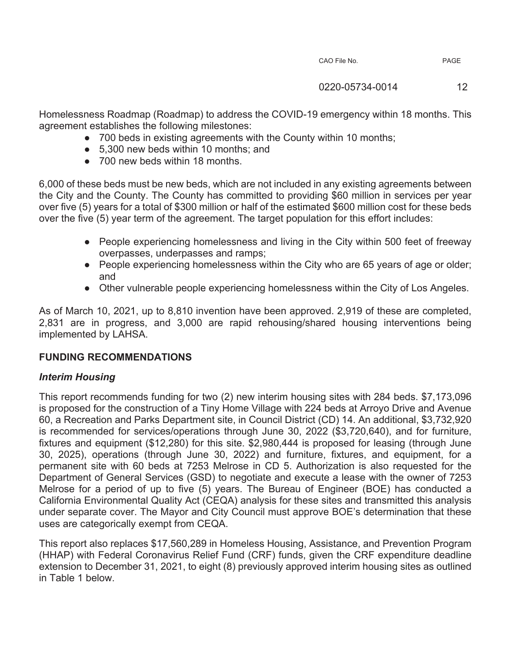0220-05734-0014 12

Homelessness Roadmap (Roadmap) to address the COVID-19 emergency within 18 months. This agreement establishes the following milestones:

- 700 beds in existing agreements with the County within 10 months;
- භ 5,300 new beds within 10 months; and
- 700 new beds within 18 months.

6,000 of these beds must be new beds, which are not included in any existing agreements between the City and the County. The County has committed to providing \$60 million in services per year over five (5) years for a total of \$300 million or half of the estimated \$600 million cost for these beds over the five (5) year term of the agreement. The target population for this effort includes:

- People experiencing homelessness and living in the City within 500 feet of freeway overpasses, underpasses and ramps;
- භ People experiencing homelessness within the City who are 65 years of age or older; and
- භ Other vulnerable people experiencing homelessness within the City of Los Angeles.

As of March 10, 2021, up to 8,810 invention have been approved. 2,919 of these are completed, 2,831 are in progress, and 3,000 are rapid rehousing/shared housing interventions being implemented by LAHSA.

# **FUNDING RECOMMENDATIONS**

# *Interim Housing*

This report recommends funding for two (2) new interim housing sites with 284 beds. \$7,173,096 is proposed for the construction of a Tiny Home Village with 224 beds at Arroyo Drive and Avenue 60, a Recreation and Parks Department site, in Council District (CD) 14. An additional, \$3,732,920 is recommended for services/operations through June 30, 2022 (\$3,720,640), and for furniture, fixtures and equipment (\$12,280) for this site. \$2,980,444 is proposed for leasing (through June 30, 2025), operations (through June 30, 2022) and furniture, fixtures, and equipment, for a permanent site with 60 beds at 7253 Melrose in CD 5. Authorization is also requested for the Department of General Services (GSD) to negotiate and execute a lease with the owner of 7253 Melrose for a period of up to five (5) years. The Bureau of Engineer (BOE) has conducted a California Environmental Quality Act (CEQA) analysis for these sites and transmitted this analysis under separate cover. The Mayor and City Council must approve BOE's determination that these uses are categorically exempt from CEQA.

This report also replaces \$17,560,289 in Homeless Housing, Assistance, and Prevention Program (HHAP) with Federal Coronavirus Relief Fund (CRF) funds, given the CRF expenditure deadline extension to December 31, 2021, to eight (8) previously approved interim housing sites as outlined in Table 1 below.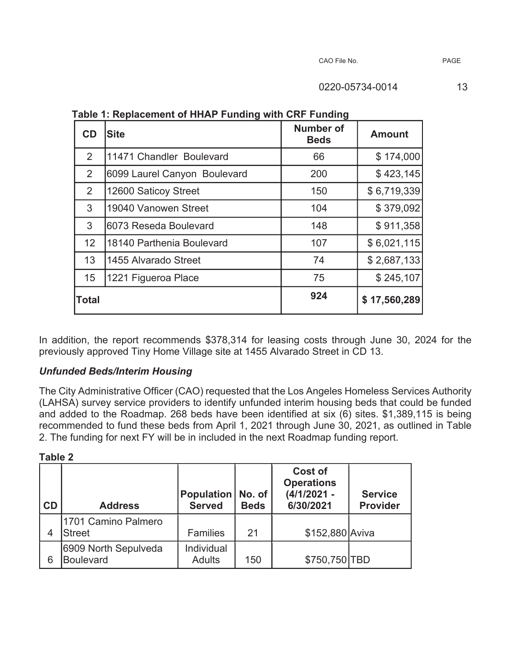| <b>CD</b>      | <b>Site</b>                  | Number of<br><b>Beds</b> | <b>Amount</b> |
|----------------|------------------------------|--------------------------|---------------|
| $\overline{2}$ | 11471 Chandler Boulevard     | 66                       | \$174,000     |
| 2              | 6099 Laurel Canyon Boulevard | 200                      | \$423,145     |
| 2              | 12600 Saticoy Street         | 150                      | \$6,719,339   |
| 3              | 19040 Vanowen Street         | 104                      | \$379,092     |
| 3              | 6073 Reseda Boulevard        | 148                      | \$911,358     |
| 12             | 18140 Parthenia Boulevard    | 107                      | \$6,021,115   |
| 13             | 1455 Alvarado Street         | 74                       | \$2,687,133   |
| 15             | 1221 Figueroa Place          | 75                       | \$245,107     |
| <b>Total</b>   |                              | 924                      | \$17,560,289  |

**Table 1: Replacement of HHAP Funding with CRF Funding** 

In addition, the report recommends \$378,314 for leasing costs through June 30, 2024 for the previously approved Tiny Home Village site at 1455 Alvarado Street in CD 13.

# *Unfunded Beds/Interim Housing*

The City Administrative Officer (CAO) requested that the Los Angeles Homeless Services Authority (LAHSA) survey service providers to identify unfunded interim housing beds that could be funded and added to the Roadmap. 268 beds have been identified at six (6) sites. \$1,389,115 is being recommended to fund these beds from April 1, 2021 through June 30, 2021, as outlined in Table 2. The funding for next FY will be in included in the next Roadmap funding report.

**Table 2** 

| CD | <b>Address</b>                           | Population<br><b>Served</b> | No. of<br><b>Beds</b> | <b>Cost of</b><br><b>Operations</b><br>$(4/1/2021 -$<br>6/30/2021 | <b>Service</b><br><b>Provider</b> |
|----|------------------------------------------|-----------------------------|-----------------------|-------------------------------------------------------------------|-----------------------------------|
| 4  | 1701 Camino Palmero<br><b>Street</b>     | <b>Families</b>             | 21                    | \$152,880 Aviva                                                   |                                   |
| 6  | 6909 North Sepulveda<br><b>Boulevard</b> | Individual<br><b>Adults</b> | 150                   | \$750,750 TBD                                                     |                                   |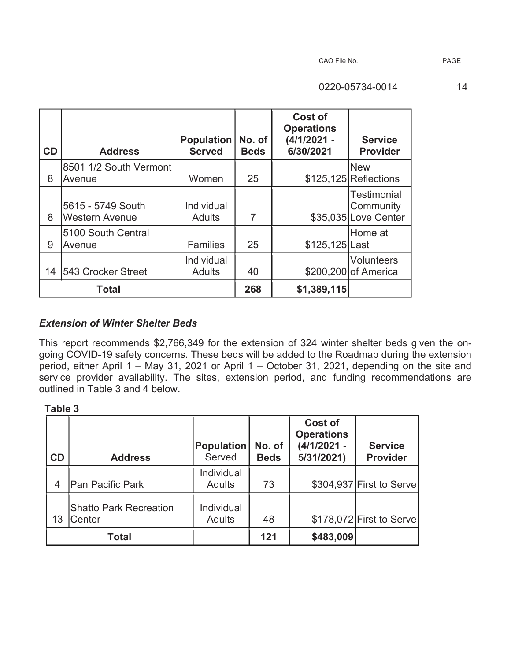| CD | <b>Address</b>                             | <b>Population</b><br><b>Served</b> | No. of<br><b>Beds</b> | Cost of<br><b>Operations</b><br>(4/1/2021 -<br>6/30/2021 | <b>Service</b><br><b>Provider</b>                       |
|----|--------------------------------------------|------------------------------------|-----------------------|----------------------------------------------------------|---------------------------------------------------------|
|    | 8501 1/2 South Vermont                     |                                    |                       |                                                          | <b>New</b>                                              |
| 8  | Avenue                                     | Women                              | 25                    |                                                          | $$125,125$ Reflections                                  |
| 8  | 5615 - 5749 South<br><b>Western Avenue</b> | Individual<br><b>Adults</b>        | 7                     |                                                          | <b>Testimonial</b><br>Community<br>\$35,035 Love Center |
| 9  | 5100 South Central<br>Avenue               | <b>Families</b>                    | 25                    | \$125,125 Last                                           | lHome at                                                |
| 14 | 543 Crocker Street                         | Individual<br><b>Adults</b>        | 40                    |                                                          | Volunteers<br>\$200,200 of America                      |
|    | <b>Total</b>                               |                                    | 268                   | \$1,389,115                                              |                                                         |

# *Extension of Winter Shelter Beds*

This report recommends \$2,766,349 for the extension of 324 winter shelter beds given the ongoing COVID-19 safety concerns. These beds will be added to the Roadmap during the extension period, either April 1 – May 31, 2021 or April 1 – October 31, 2021, depending on the site and service provider availability. The sites, extension period, and funding recommendations are outlined in Table 3 and 4 below.

| Н<br>O<br>. . |  |
|---------------|--|
|---------------|--|

| CD | <b>Address</b>                          | <b>Population</b><br>Served | No. of<br><b>Beds</b> | Cost of<br><b>Operations</b><br>$(4/1/2021 -$<br>5/31/2021) | <b>Service</b><br><b>Provider</b> |
|----|-----------------------------------------|-----------------------------|-----------------------|-------------------------------------------------------------|-----------------------------------|
| 4  | lPan Pacific Park                       | Individual<br><b>Adults</b> | 73                    |                                                             | \$304,937 First to Serve          |
| 13 | <b>Shatto Park Recreation</b><br>Center | Individual<br><b>Adults</b> | 48                    |                                                             | \$178,072 First to Serve          |
|    | Total                                   |                             | 121                   | \$483,009                                                   |                                   |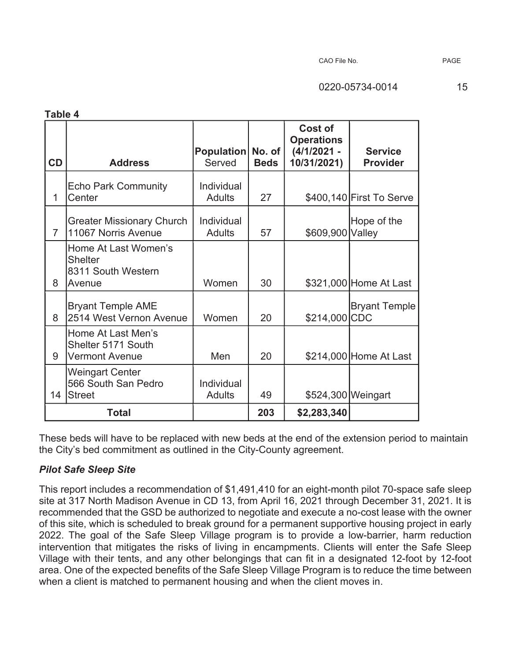| Table 4        |                                                                        |                             |                       |                                                              |                                   |
|----------------|------------------------------------------------------------------------|-----------------------------|-----------------------|--------------------------------------------------------------|-----------------------------------|
| CD             | <b>Address</b>                                                         | <b>Population</b><br>Served | No. of<br><b>Beds</b> | Cost of<br><b>Operations</b><br>$(4/1/2021 -$<br>10/31/2021) | <b>Service</b><br><b>Provider</b> |
| 1              | <b>Echo Park Community</b><br>Center                                   | Individual<br><b>Adults</b> | 27                    |                                                              | \$400,140 First To Serve          |
| $\overline{7}$ | <b>Greater Missionary Church</b><br>11067 Norris Avenue                | Individual<br><b>Adults</b> | 57                    | \$609,900 Valley                                             | Hope of the                       |
| 8              | Home At Last Women's<br><b>Shelter</b><br>8311 South Western<br>Avenue | Women                       | 30                    |                                                              | \$321,000 Home At Last            |
| 8              | <b>Bryant Temple AME</b><br>2514 West Vernon Avenue                    | Women                       | 20                    | \$214,000 CDC                                                | <b>Bryant Temple</b>              |
| 9              | Home At Last Men's<br>Shelter 5171 South<br><b>Vermont Avenue</b>      | Men                         | 20                    |                                                              | \$214,000 Home At Last            |
| 14             | <b>Weingart Center</b><br>566 South San Pedro<br><b>Street</b>         | Individual<br><b>Adults</b> | 49                    | \$524,300 Weingart                                           |                                   |
|                | <b>Total</b>                                                           |                             | 203                   | \$2,283,340                                                  |                                   |

These beds will have to be replaced with new beds at the end of the extension period to maintain the City's bed commitment as outlined in the City-County agreement.

# *Pilot Safe Sleep Site*

This report includes a recommendation of \$1,491,410 for an eight-month pilot 70-space safe sleep site at 317 North Madison Avenue in CD 13, from April 16, 2021 through December 31, 2021. It is recommended that the GSD be authorized to negotiate and execute a no-cost lease with the owner of this site, which is scheduled to break ground for a permanent supportive housing project in early 2022. The goal of the Safe Sleep Village program is to provide a low-barrier, harm reduction intervention that mitigates the risks of living in encampments. Clients will enter the Safe Sleep Village with their tents, and any other belongings that can fit in a designated 12-foot by 12-foot area. One of the expected benefits of the Safe Sleep Village Program is to reduce the time between when a client is matched to permanent housing and when the client moves in.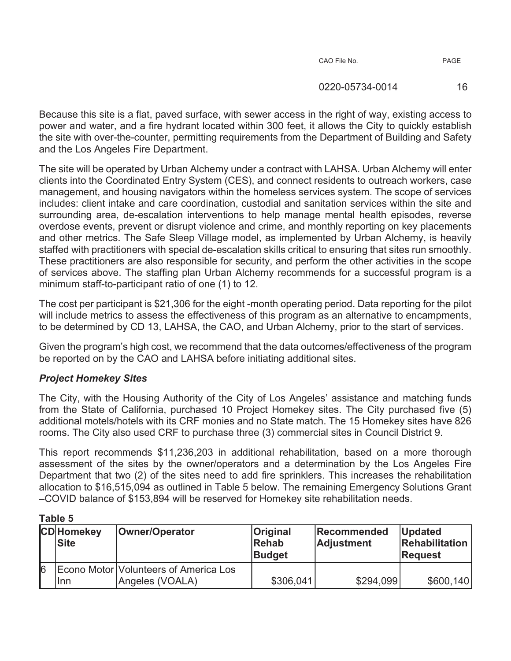| CAO File No. |  |
|--------------|--|
|--------------|--|

0220-05734-0014 16

Because this site is a flat, paved surface, with sewer access in the right of way, existing access to power and water, and a fire hydrant located within 300 feet, it allows the City to quickly establish the site with over-the-counter, permitting requirements from the Department of Building and Safety and the Los Angeles Fire Department.

The site will be operated by Urban Alchemy under a contract with LAHSA. Urban Alchemy will enter clients into the Coordinated Entry System (CES), and connect residents to outreach workers, case management, and housing navigators within the homeless services system. The scope of services includes: client intake and care coordination, custodial and sanitation services within the site and surrounding area, de-escalation interventions to help manage mental health episodes, reverse overdose events, prevent or disrupt violence and crime, and monthly reporting on key placements and other metrics. The Safe Sleep Village model, as implemented by Urban Alchemy, is heavily staffed with practitioners with special de-escalation skills critical to ensuring that sites run smoothly. These practitioners are also responsible for security, and perform the other activities in the scope of services above. The staffing plan Urban Alchemy recommends for a successful program is a minimum staff-to-participant ratio of one (1) to 12.

The cost per participant is \$21,306 for the eight -month operating period. Data reporting for the pilot will include metrics to assess the effectiveness of this program as an alternative to encampments, to be determined by CD 13, LAHSA, the CAO, and Urban Alchemy, prior to the start of services.

Given the program's high cost, we recommend that the data outcomes/effectiveness of the program be reported on by the CAO and LAHSA before initiating additional sites.

# *Project Homekey Sites*

The City, with the Housing Authority of the City of Los Angeles' assistance and matching funds from the State of California, purchased 10 Project Homekey sites. The City purchased five (5) additional motels/hotels with its CRF monies and no State match. The 15 Homekey sites have 826 rooms. The City also used CRF to purchase three (3) commercial sites in Council District 9.

This report recommends \$11,236,203 in additional rehabilitation, based on a more thorough assessment of the sites by the owner/operators and a determination by the Los Angeles Fire Department that two (2) of the sites need to add fire sprinklers. This increases the rehabilitation allocation to \$16,515,094 as outlined in Table 5 below. The remaining Emergency Solutions Grant –COVID balance of \$153,894 will be reserved for Homekey site rehabilitation needs.

|   | <b>CD</b> Homekey<br><b>Site</b> | Owner/Operator                                           | <b>Original</b><br>Rehab<br><b>Budget</b> | Recommended<br><b>Adjustment</b> | <b>Updated</b><br>Rehabilitation<br><b>Request</b> |
|---|----------------------------------|----------------------------------------------------------|-------------------------------------------|----------------------------------|----------------------------------------------------|
| 6 | llnn                             | Econo Motor Volunteers of America Los<br>Angeles (VOALA) | \$306,041                                 | \$294,099                        | \$600,140                                          |

**Table 5**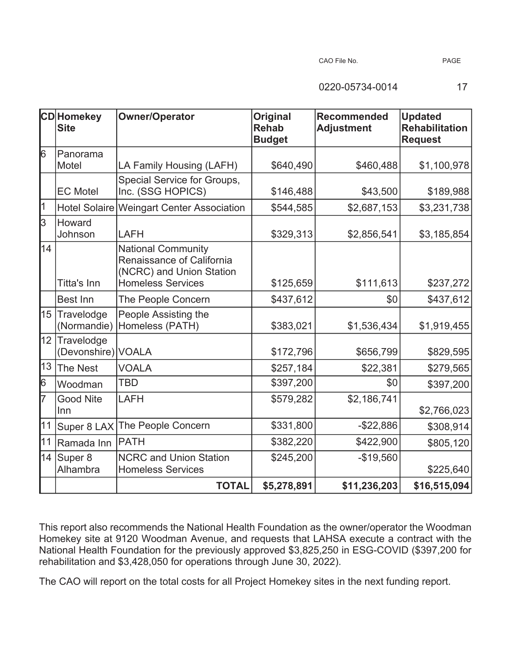CAO File No. PAGE

0220-05734-0014 17

|    | <b>CD</b> Homekey<br>Site        | <b>Owner/Operator</b>                                                                                          | <b>Original</b><br><b>Rehab</b><br><b>Budget</b> | <b>Recommended</b><br><b>Adjustment</b> | <b>Updated</b><br><b>Rehabilitation</b><br><b>Request</b> |
|----|----------------------------------|----------------------------------------------------------------------------------------------------------------|--------------------------------------------------|-----------------------------------------|-----------------------------------------------------------|
| 6  | IPanorama<br>Motel               | LA Family Housing (LAFH)                                                                                       | \$640,490                                        | \$460,488                               | \$1,100,978                                               |
|    | <b>EC</b> Motel                  | Special Service for Groups,<br>Inc. (SSG HOPICS)                                                               | \$146,488                                        | \$43,500                                | \$189,988                                                 |
| 1  |                                  | Hotel Solaire Weingart Center Association                                                                      | \$544,585                                        | \$2,687,153                             | \$3,231,738                                               |
| 3  | Howard<br>Johnson                | LAFH                                                                                                           | \$329,313                                        | \$2,856,541                             | \$3,185,854                                               |
| 14 | Titta's Inn                      | <b>National Community</b><br>Renaissance of California<br>(NCRC) and Union Station<br><b>Homeless Services</b> | \$125,659                                        | \$111,613                               | \$237,272                                                 |
|    | Best Inn                         | The People Concern                                                                                             | \$437,612                                        | \$0                                     | \$437,612                                                 |
|    | 15 Travelodge<br>(Normandie)     | People Assisting the<br>Homeless (PATH)                                                                        | \$383,021                                        | \$1,536,434                             | \$1,919,455                                               |
| 12 | Travelodge<br>(Devonshire) VOALA |                                                                                                                | \$172,796                                        | \$656,799                               | \$829,595                                                 |
| 13 | The Nest                         | <b>VOALA</b>                                                                                                   | \$257,184                                        | \$22,381                                | \$279,565                                                 |
| 6  | Woodman                          | <b>TBD</b>                                                                                                     | \$397,200                                        | \$0                                     | \$397,200                                                 |
| 7  | <b>Good Nite</b><br>Inn          | <b>LAFH</b>                                                                                                    | \$579,282                                        | \$2,186,741                             | \$2,766,023                                               |
| 11 | Super 8 LAX                      | The People Concern                                                                                             | \$331,800                                        | $-$22,886$                              | \$308,914                                                 |
| 11 | Ramada Inn                       | <b>PATH</b>                                                                                                    | \$382,220                                        | \$422,900                               | \$805,120                                                 |
|    | 14 Super $8$<br>Alhambra         | <b>NCRC and Union Station</b><br><b>Homeless Services</b>                                                      | \$245,200                                        | $-$19,560$                              | \$225,640                                                 |
|    |                                  | <b>TOTAL</b>                                                                                                   | \$5,278,891                                      | \$11,236,203                            | \$16,515,094                                              |

This report also recommends the National Health Foundation as the owner/operator the Woodman Homekey site at 9120 Woodman Avenue, and requests that LAHSA execute a contract with the National Health Foundation for the previously approved \$3,825,250 in ESG-COVID (\$397,200 for rehabilitation and \$3,428,050 for operations through June 30, 2022).

The CAO will report on the total costs for all Project Homekey sites in the next funding report.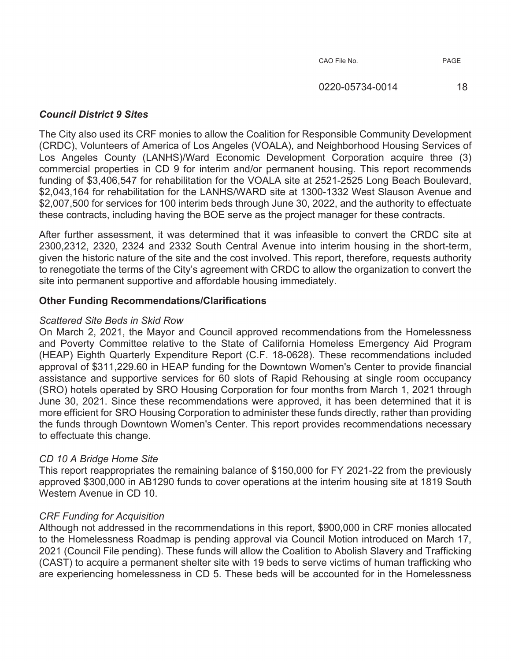# *Council District 9 Sites*

The City also used its CRF monies to allow the Coalition for Responsible Community Development (CRDC), Volunteers of America of Los Angeles (VOALA), and Neighborhood Housing Services of Los Angeles County (LANHS)/Ward Economic Development Corporation acquire three (3) commercial properties in CD 9 for interim and/or permanent housing. This report recommends funding of \$3,406,547 for rehabilitation for the VOALA site at 2521-2525 Long Beach Boulevard, \$2,043,164 for rehabilitation for the LANHS/WARD site at 1300-1332 West Slauson Avenue and \$2,007,500 for services for 100 interim beds through June 30, 2022, and the authority to effectuate these contracts, including having the BOE serve as the project manager for these contracts.

After further assessment, it was determined that it was infeasible to convert the CRDC site at 2300,2312, 2320, 2324 and 2332 South Central Avenue into interim housing in the short-term, given the historic nature of the site and the cost involved. This report, therefore, requests authority to renegotiate the terms of the City's agreement with CRDC to allow the organization to convert the site into permanent supportive and affordable housing immediately.

# **Other Funding Recommendations/Clarifications**

#### *Scattered Site Beds in Skid Row*

On March 2, 2021, the Mayor and Council approved recommendations from the Homelessness and Poverty Committee relative to the State of California Homeless Emergency Aid Program (HEAP) Eighth Quarterly Expenditure Report (C.F. 18-0628). These recommendations included approval of \$311,229.60 in HEAP funding for the Downtown Women's Center to provide financial assistance and supportive services for 60 slots of Rapid Rehousing at single room occupancy (SRO) hotels operated by SRO Housing Corporation for four months from March 1, 2021 through June 30, 2021. Since these recommendations were approved, it has been determined that it is more efficient for SRO Housing Corporation to administer these funds directly, rather than providing the funds through Downtown Women's Center. This report provides recommendations necessary to effectuate this change.

# *CD 10 A Bridge Home Site*

This report reappropriates the remaining balance of \$150,000 for FY 2021-22 from the previously approved \$300,000 in AB1290 funds to cover operations at the interim housing site at 1819 South Western Avenue in CD 10.

# *CRF Funding for Acquisition*

Although not addressed in the recommendations in this report, \$900,000 in CRF monies allocated to the Homelessness Roadmap is pending approval via Council Motion introduced on March 17, 2021 (Council File pending). These funds will allow the Coalition to Abolish Slavery and Trafficking (CAST) to acquire a permanent shelter site with 19 beds to serve victims of human trafficking who are experiencing homelessness in CD 5. These beds will be accounted for in the Homelessness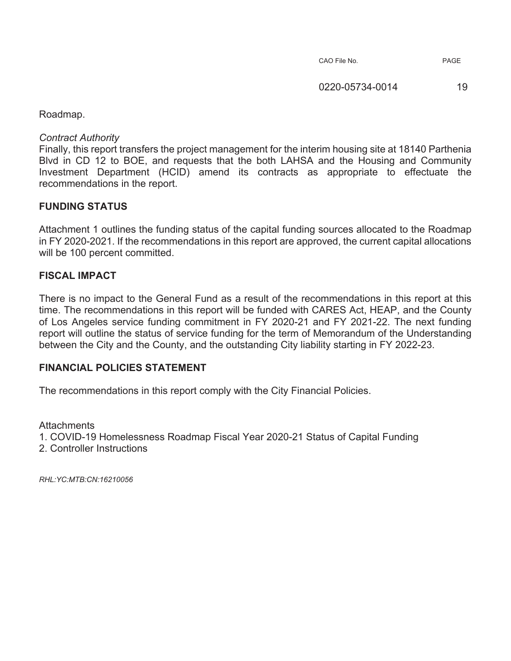Roadmap.

*Contract Authority* 

Finally, this report transfers the project management for the interim housing site at 18140 Parthenia Blvd in CD 12 to BOE, and requests that the both LAHSA and the Housing and Community Investment Department (HCID) amend its contracts as appropriate to effectuate the recommendations in the report.

# **FUNDING STATUS**

Attachment 1 outlines the funding status of the capital funding sources allocated to the Roadmap in FY 2020-2021. If the recommendations in this report are approved, the current capital allocations will be 100 percent committed.

## **FISCAL IMPACT**

There is no impact to the General Fund as a result of the recommendations in this report at this time. The recommendations in this report will be funded with CARES Act, HEAP, and the County of Los Angeles service funding commitment in FY 2020-21 and FY 2021-22. The next funding report will outline the status of service funding for the term of Memorandum of the Understanding between the City and the County, and the outstanding City liability starting in FY 2022-23.

## **FINANCIAL POLICIES STATEMENT**

The recommendations in this report comply with the City Financial Policies.

Attachments

1. COVID-19 Homelessness Roadmap Fiscal Year 2020-21 Status of Capital Funding

2. Controller Instructions

*RHL:YC:MTB:CN:16210056*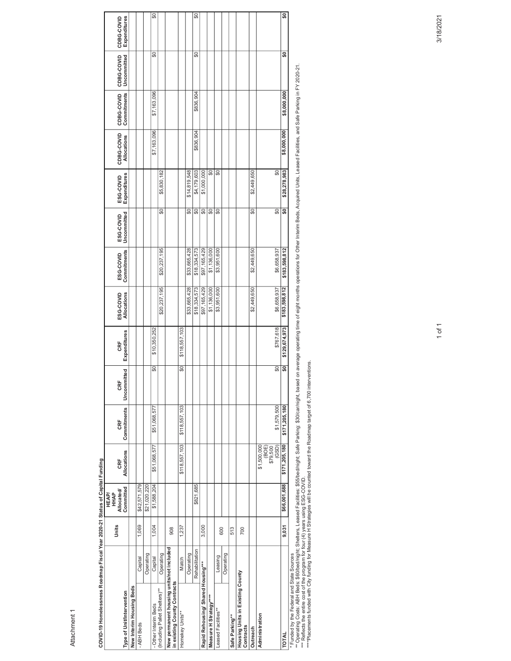Attachment 1

| I Voar 2020 24 Statis of Capital Ei<br>Anden in enien-the Iz-ander | <b>ULE AD</b> |
|--------------------------------------------------------------------|---------------|
|                                                                    |               |
| Ş<br>ׇׇ֖֖֖֚֚֚֚֚֚֚֚֚֚֚֚֚֚֚֚֚֚֚֚֡֘֝֓׆<br>֧֛֪֪֪֪֪֪֪֪֪֠֠֘֠֩֕֩֕֩֩֩֓֕    |               |
|                                                                    |               |
| COVID 10 Homologenore Boodmar                                      |               |
| 1                                                                  |               |

|                      | Type of Unit/Intervention  | New Interim Housing Beds | - ABH Beds   |              | Other Interim Beds       | (Including Pallet Shelters)** | New permanent housing units/not included<br>in existing County Contracts | Homekey Units**          |              |                          | Rapid Rehousing/ Shared Housing*** | Measure H Strategy****   | Leased Facilities** |           | Safe Parking** | Housing Units in Existing County<br>Contracts | Outreach    | Administration                            | TOTAL         |
|----------------------|----------------------------|--------------------------|--------------|--------------|--------------------------|-------------------------------|--------------------------------------------------------------------------|--------------------------|--------------|--------------------------|------------------------------------|--------------------------|---------------------|-----------|----------------|-----------------------------------------------|-------------|-------------------------------------------|---------------|
|                      |                            |                          | Capital      | Operating    | Capital                  | Operating                     |                                                                          | Match                    | Operating    | Rehabilitation           |                                    |                          | Leasing             | Operating |                |                                               |             |                                           |               |
| Units                |                            |                          | 1,069        |              | 1,004                    |                               | 908                                                                      | 1,237                    |              |                          | 3,000                              |                          | 600                 |           | 513            | 700                                           |             |                                           | 9,031         |
| HHAP<br><b>HEAP/</b> | Committed<br>Allocated/    |                          | \$42,571,579 | \$21,020,220 | \$1,588,204              |                               |                                                                          |                          |              | \$821,685                |                                    |                          |                     |           |                |                                               |             |                                           | \$66,001,688  |
|                      | Allocations<br>CRF         |                          |              |              | \$51,068,577             |                               |                                                                          | \$118,557,103            |              |                          |                                    |                          |                     |           |                |                                               |             | \$1,500,000<br>(GSD)<br>(BOE)<br>\$79,500 | \$171,205,180 |
|                      | Commitments<br>CRF         |                          |              |              | \$51,068,577             |                               |                                                                          | \$118,557,103            |              |                          |                                    |                          |                     |           |                |                                               |             | \$1,579,500                               | \$171,205,180 |
|                      | mitted<br>щ<br>g<br>Uncom  |                          |              |              | $\overline{\mathbf{50}}$ |                               |                                                                          | $\overline{\mathbf{50}}$ |              |                          |                                    |                          |                     |           |                |                                               |             | $\overline{\mathbf{50}}$                  | ន្ល           |
|                      | Expenditures<br>CRF        |                          |              |              | \$10,350,252             |                               |                                                                          | \$118,557,103            |              |                          |                                    |                          |                     |           |                |                                               |             | \$767.618                                 | \$129,674,973 |
|                      | ESG-COVID<br>Allocations   |                          |              |              |                          | \$20,237,195                  |                                                                          |                          | \$33,665,428 | \$18,334,573             | \$97, 165, 429                     | \$1,136,000              | \$3,951,600         |           |                |                                               | \$2,449,650 | \$6,658,937                               | \$183,598,812 |
|                      | Commitments<br>ESG-COVID   |                          |              |              |                          | \$20,237,195                  |                                                                          |                          | \$33,665,428 | \$18,334,573             | \$97,165,429                       | \$1,136,000              | \$3,951,600         |           |                |                                               | \$2,449,650 | \$6,658,937                               | \$183,598,812 |
|                      | Uncommitted<br>ESG-COVID   |                          |              |              |                          | SO                            |                                                                          |                          | S            | S                        | S                                  | S                        | S                   |           |                |                                               | S           | S                                         | ន្ធ           |
|                      | Expenditures<br>ESG-COVID  |                          |              |              |                          | \$5,830,182                   |                                                                          |                          | \$14,819,548 | \$4,179,603              | \$1,000,000                        | $\overline{\mathbf{50}}$ | SO                  |           |                |                                               | \$2,449,650 | $\overline{60}$                           | \$28,278,983  |
|                      | CDBG-COVID<br>Allocations  |                          |              |              | \$7,163,096              |                               |                                                                          |                          |              | \$836,904                |                                    |                          |                     |           |                |                                               |             |                                           | \$8,000,000   |
|                      | CDBG-COVID<br>Commitments  |                          |              |              | \$7,163,096              |                               |                                                                          |                          |              | \$836,904                |                                    |                          |                     |           |                |                                               |             |                                           | \$8,000,000   |
|                      | CDBG-COVID<br>Uncommitted  |                          |              |              | SO                       |                               |                                                                          |                          |              | SO                       |                                    |                          |                     |           |                |                                               |             |                                           | ဒ္တ           |
|                      | Expenditures<br>CDBG-COVID |                          |              |              | $\overline{\mathcal{L}}$ |                               |                                                                          |                          |              | $\overline{\mathcal{L}}$ |                                    |                          |                     |           |                |                                               |             |                                           | $\frac{6}{2}$ |
|                      |                            |                          |              |              |                          |                               |                                                                          |                          |              |                          |                                    |                          |                     |           |                |                                               |             |                                           |               |

\* Funded by the Federal and State Sources<br>\*\* Reflects the entire cost of the State Shelles, Sassing ESG-COVID.<br>\*\*\* Reflects the entire cost of the program for four fives using ESG-COVID.<br>\*\*\* Placements funded with City fun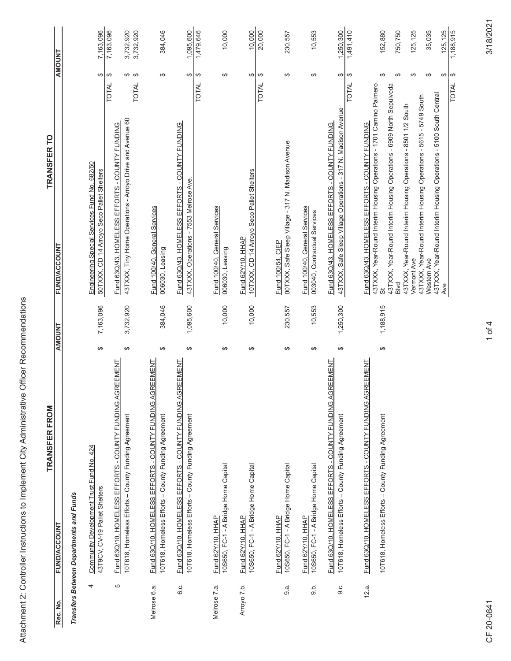|              | TRANSFER FROM                                                                                                       |               |           | TRANSFER TO                                                                                                           |                                      |                       |
|--------------|---------------------------------------------------------------------------------------------------------------------|---------------|-----------|-----------------------------------------------------------------------------------------------------------------------|--------------------------------------|-----------------------|
| Rec. No.     | Transfers Between Departments and Funds<br><b>FUND/ACCOUNT</b>                                                      | <b>AMOUNT</b> |           | <b>FUND/ACCOUNT</b>                                                                                                   |                                      | <b>AMOUNT</b>         |
| 4            | Community Development Trust Fund No. 424<br>43T9CV, CV-19 Pallet Shelters                                           | $\Theta$      | 7,163,096 | Engineering Special Services Fund No. 682/50<br>50TXXX, CD 14 Arroyo Seco Pallet Shelters                             | ↔                                    | 7,163,096             |
| 5            | GREEMENT<br>Fund 63Q/10, HOMELESS EFFORTS - COUNTY FUNDING A                                                        |               |           | Fund 63Q/43, HOMELESS EFFORTS - COUNTY FUNDING                                                                        | $\boldsymbol{\varphi}$<br>TOTAL      | 7,163,096             |
|              | 10T618, Homeless Efforts - County Funding Agreement                                                                 | ↮             | 3,732,920 | 43TXXX, Tiny Home Operations - Arroyo Drive and Avenue 60                                                             | ⊷                                    | 3,732,920             |
|              |                                                                                                                     |               |           |                                                                                                                       | $\Theta$<br><b>TOTAL</b>             | 3,732,920             |
| Melrose 6.a. | GREEMENT<br>Fund 63Q/10. HOMELESS EFFORTS - COUNTY FUNDING A<br>10T618, Homeless Efforts - County Funding Agreement | ↔             | 384,046   | Fund 100/40, General Services<br>006030, Leasing                                                                      | ↔                                    | 384,046               |
| 6.c.         | GREEMENT<br>Fund 63Q/10, HOMELESS EFFORTS - COUNTY FUNDING A<br>10T618, Homeless Efforts - County Funding Agreement | ↮             | 1,095,600 | Fund 63Q/43, HOMELESS EFFORTS - COUNTY FUNDING<br>43TXXX, Operations - 7553 Melrose Ave.                              | ⊷                                    | 1,095,600             |
|              |                                                                                                                     |               |           |                                                                                                                       | $\Theta$<br>TOTAL                    | 1,479,646             |
| Melrose 7.a. | 10S650, FC-1 - A Bridge Home Capital<br>Fund 62Y/10, HHAP                                                           | ↔             | 10,000    | Fund 100/40, General Services<br>006030, Leasing                                                                      | ↮                                    | 10,000                |
| Arroyo 7.b.  | 10S650, FC-1 - A Bridge Home Capital<br>Fund 62Y/10, HHAP                                                           | ↮             | 10,000    | 10TXXX, CD 14 Arroyo Seco Pallet Shelters<br>Fund 62Y/10, HHAP                                                        | ↮                                    | 10,000                |
|              |                                                                                                                     |               |           |                                                                                                                       | $\Theta$<br>TOTAL                    | 20,000                |
| 9.a.         | 10S650, FC-1 - A Bridge Home Capital<br>Fund 62Y/10, HHAP                                                           | $\Theta$      | 230,557   | 00TXXX, Safe Sleep Village - 317 N. Madison Avenue<br>Fund 100/54, CIEP                                               | $\Theta$                             | 230,557               |
| 9.5.         | 10S650, FC-1 - A Bridge Home Capital<br>Fund 62Y/10, HHAP                                                           | ↮             | 10,553    | Fund 100/40, General Services<br>003040, Contractual Services                                                         | ↮                                    | 10,553                |
| ن<br>@       | GREEMENT<br>Fund 63Q/10. HOMELESS EFFORTS - COUNTY FUNDING A<br>10T618, Homeless Efforts - County Funding Agreement | $\Theta$      | 1,250,300 | 43TXXX, Safe Sleep Village Operations - 317 N. Madison Avenue<br>Fund 63Q/43. HOMELESS EFFORTS - COUNTY FUNDING       | ↮                                    | 1,250,300             |
|              |                                                                                                                     |               |           |                                                                                                                       | ↮<br><b>TOTAL</b>                    | 1,491,410             |
| 12.a.        | GREEMENT<br>Fund 63Q/10, HOMELESS EFFORTS - COUNTY FUNDING A                                                        |               |           | 43TXXX, Year-Round Interim Housing Operations - 1701 Camino Palmero<br>Fund 63Q/43. HOMELESS EFFORTS - COUNTY FUNDING |                                      |                       |
|              | 10T618, Homeless Efforts - County Funding Agreement                                                                 | ↮             | 1,188,915 | 43TXXX, Year-Round Interim Housing Operations - 6909 North Sepulveda<br>あ                                             | ↮                                    | 152,880               |
|              |                                                                                                                     |               |           | 43TXXX, Year-Round Interim Housing Operations - 8501 1/2 South<br>Blvd                                                | ↮                                    | 750,750               |
|              |                                                                                                                     |               |           | 43TXXX, Year-Round Interim Housing Operations - 5615 - 5749 South<br>Vermont Ave                                      | ↮                                    | 125, 125              |
|              |                                                                                                                     |               |           | 43TXXX, Year-Round Interim Housing Operations - 5100 South Central<br>Western Ave                                     | $\Theta$                             | 35,035                |
|              |                                                                                                                     |               |           | Ave                                                                                                                   | $\boldsymbol{\varphi}$<br>↮<br>TOTAL | 125, 125<br>1,188,915 |

Attachment 2: Controller Instructions to Implement City Administrative Officer Recommendations

3/18/2021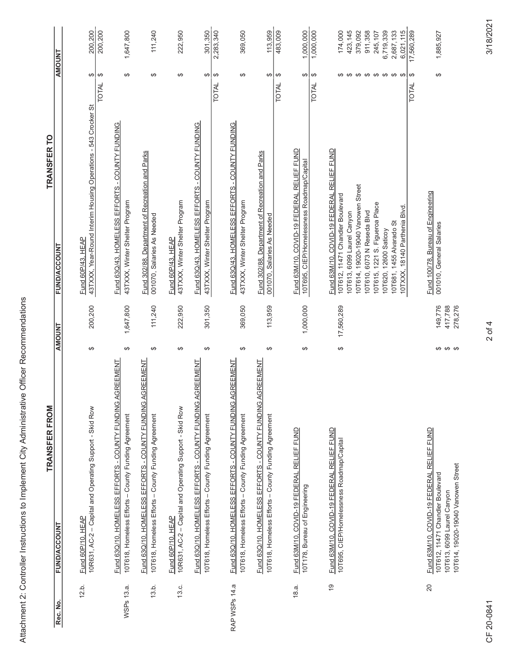| ך<br>ב<br>$\overline{\phantom{a}}$<br>ļ |
|-----------------------------------------|
| ة<br>أ                                  |
|                                         |
|                                         |
|                                         |
|                                         |
|                                         |
|                                         |
| l                                       |
|                                         |
| -<br>؟<br>؟                             |
|                                         |
| $\frac{5}{5}$<br>;<br>;                 |
| 5                                       |
| :<br>;                                  |
| i                                       |
| I                                       |
| .<br>.<br>Í<br>l                        |
| ֞<br>ī<br>Attach <sup>,</sup>           |

|                | <b>TRANSFER FROM</b>                                                                                                                                        |               |                               | <b>TRANSFER TO</b>                                                                                                                                                                                                                                                                                      |                               |                                                                                                           |
|----------------|-------------------------------------------------------------------------------------------------------------------------------------------------------------|---------------|-------------------------------|---------------------------------------------------------------------------------------------------------------------------------------------------------------------------------------------------------------------------------------------------------------------------------------------------------|-------------------------------|-----------------------------------------------------------------------------------------------------------|
| Rec. No.       | <b>FUND/ACCOUNT</b>                                                                                                                                         | <b>AMOUNT</b> |                               | <b>FUND/ACCOUNT</b>                                                                                                                                                                                                                                                                                     | <b>AMOUNT</b>                 |                                                                                                           |
| 12.b.          | 10R631, AC-2 - Capital and Operating Support - Skid Row<br>Fund 60P/10, HEAP                                                                                | ↮             | 200,200                       | 43TXXX, Year-Round Interim Housing Operations - 543 Crocker St<br>Fund 60P/43, HEAP                                                                                                                                                                                                                     | ↮<br>$\Theta$<br>TOTAL        | 200,200<br>200,200                                                                                        |
| WSPs 13.a.     | Fund 63Q/10, HOMELESS EFFORTS - COUNTY FUNDING AGREEMENT<br>10T618, Homeless Efforts - County Funding Agreement                                             | ↮             | 1,647,800                     | Fund 63Q/43. HOMELESS EFFORTS - COUNTY FUNDING<br>43TXXX, Winter Shelter Program                                                                                                                                                                                                                        | ↔                             | 1,647,800                                                                                                 |
| 13.b.          | Fund 63Q/10. HOMELESS EFFORTS - COUNTY FUNDING AGREEMENT<br>10T618, Homeless Efforts - County Funding Agreement                                             | ↔             | 111,240                       | Fund 302/88, Department of Recreation and Parks<br>001070, Salaries As Needed                                                                                                                                                                                                                           | ↮                             | 111,240                                                                                                   |
| 13.c.          | 10R631, AC-2 - Capital and Operating Support - Skid Row<br><b>Fund 60P/10, HEAP</b>                                                                         | $\Theta$      | 222,950                       | 43TXXX, Winter Shelter Program<br><b>Fund 60P/43, HEAP</b>                                                                                                                                                                                                                                              | $\Theta$                      | 222,950                                                                                                   |
|                | Fund 63Q/10, HOMELESS EFFORTS - COUNTY FUNDING AGREEMENT<br>10T618, Homeless Efforts - County Funding Agreement                                             | $\Theta$      | 301,350                       | Fund 63Q/43, HOMELESS EFFORTS - COUNTY FUNDING<br>43TXXX, Winter Shelter Program                                                                                                                                                                                                                        | ↮<br>$\Theta$<br>TOTAL        | 2,283,340<br>301,350                                                                                      |
| RAP WSPs 14.a  | Fund 63Q/10. HOMELESS EFFORTS - COUNTY FUNDING AGREEMENT<br>10T618, Homeless Efforts - County Funding Agreement                                             | $\Theta$      | 369,050                       | Fund 63Q/43. HOMELESS EFFORTS - COUNTY FUNDING<br>43TXXX, Winter Shelter Program                                                                                                                                                                                                                        | $\Theta$                      | 369,050                                                                                                   |
|                | Fund 63Q/10, HOMELESS EFFORTS - COUNTY FUNDING AGREEMENT<br>10T618, Homeless Efforts - County Funding Agreement                                             | $\Theta$      | 113,959                       | Fund 302/88, Department of Recreation and Parks<br>001070, Salaries As Needed                                                                                                                                                                                                                           | ↮<br>$\Theta$<br><b>TOTAL</b> | 483,009<br>113,959                                                                                        |
| 18.a.          | Fund 63M/10, COVID-19 FEDERAL RELIEF FUND<br>10T178, Bureau of Engineering                                                                                  | $\Theta$      | 1,000,000                     | Fund 63M/10, COVID-19 FEDERAL RELIEF FUND<br>10T695, CIEP/Homelessness Roadmap/Capital                                                                                                                                                                                                                  | ↮<br>$\Theta$<br><b>TOTAL</b> | 1,000,000<br>1,000,000                                                                                    |
| $\overline{9}$ | Fund 63M/10, COVID-19 FEDERAL RELIEF FUND<br>10T695, CIEP/Homelessness Roadmap/Capital                                                                      | ↔             | 17,560,289                    | Fund 63M/10, COVID-19 FEDERAL RELIEF FUND<br>10T614, 19020-19040 Vanowen Street<br>10T612, 11471 Chandler Boulevard<br>10T615, 1221 S. Figueroa Place<br>10TXXX, 18140 Parthenia Blvd.<br>10T610, 6073 N Reseda Blvd<br>10T613, 6099 Laurel Canyon<br>10T681, 1455 Alvarado St<br>10T620, 12600 Saticoy | $\Theta$<br><b>TOTAL</b>      | 423, 145<br>911,358<br>6,719,339<br>2,687,133<br>17,560,289<br>174,000<br>379,092<br>245,107<br>6,021,115 |
| 20             | <b>RELIEF FUND</b><br>10T614, 19020-19040 Vanowen Street<br>10T612, 11471 Chandler Boulevard<br>Fund 63M/10, COVID-19 FEDERAL<br>10T613, 6099 Laurel Canyon | $\theta$<br>↮ | 278,276<br>149,776<br>417,788 | Fund 100/78. Bureau of Engineering<br>001010, General Salaries                                                                                                                                                                                                                                          | ↮                             | 1,885,927                                                                                                 |

3/18/2021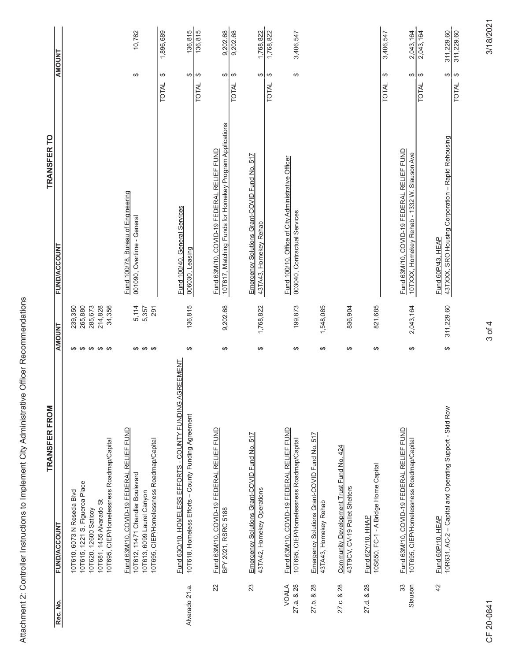|                                                                                                   | <b>TRANSFER TO</b>   |                     |                           |                                |                                  |
|---------------------------------------------------------------------------------------------------|----------------------|---------------------|---------------------------|--------------------------------|----------------------------------|
|                                                                                                   |                      | <b>FUND/ACCOUNT</b> |                           |                                |                                  |
|                                                                                                   |                      |                     | 239,350                   | 265,880                        | 200 G72                          |
|                                                                                                   |                      | <b>AMOUNT</b>       |                           |                                |                                  |
| City Administrative Officer Recommendations<br>Attachment 2: Controller Instructions to Implement | <b>TRANSFER FROM</b> | <b>FUND/ACCOUNT</b> | 0T610, 6073 N Reseda Blvd | 10T615, 1221 S. Figueroa Place | יומדבמת מתמת <del>כוונמי</del> י |
|                                                                                                   |                      | Rec. No.            |                           |                                |                                  |

| Rec. No.            | <b>FUND/ACCOUNT</b>                                                                                                                                            | <b>AMOUNT</b>         |                                                    | <b>FUND/ACCOUNT</b>                                                                                       | <b>AMOUNT</b>                                      |                          |
|---------------------|----------------------------------------------------------------------------------------------------------------------------------------------------------------|-----------------------|----------------------------------------------------|-----------------------------------------------------------------------------------------------------------|----------------------------------------------------|--------------------------|
|                     | 10T695, CIEP/Homelessness Roadmap/Capital<br>10T615, 1221 S. Figueroa Place<br>10T610, 6073 N Reseda Blvd<br>10T681, 1455 Alvarado St<br>10T620, 12600 Saticoy | <b>09 09 09 09 09</b> | 285,673<br>34,356<br>214,828<br>265,880<br>239,350 |                                                                                                           |                                                    |                          |
|                     | Fund 63M/10, COVID-19 FEDERAL RELIEF FUND<br>10T695, CIEP/Homelessness Roadmap/Capital<br>10T612, 11471 Chandler Boulevard<br>10T613, 6099 Laurel Canyon       | <del>ဟ ဟ ဟ</del>      | 5,114<br>291<br>5,357                              | Fund 100/78. Bureau of Engineering<br>001090, Overtime - General                                          | ↔                                                  | 10,762                   |
| Alvarado 21.a.      | AGREEMENT<br>Fund 63Q/10, HOMELESS EFFORTS - COUNTY FUNDING.<br>10T618, Homeless Efforts - County Funding Agreement                                            | ↮                     | 136,815                                            | Fund 100/40, General Services<br>006030, Leasing                                                          | ↔<br>↔<br><b>TOTAL</b>                             | 136,815<br>1,896,689     |
| 22                  | Fund 63M/10, COVID-19 FEDERAL RELIEF FUND<br>BFY 2021, RSRC 5188                                                                                               | ↔                     | 9,202.68                                           | 10T617, Matching Funds for Homekey Program Applications<br>. RELIEF FUND<br>Fund 63M/10, COVID-19 FEDERAL | $\Theta$<br>↔<br><b>TOTAL</b>                      | 136,815<br>9,202.68      |
| 23                  | Emergency Solutions Grant-COVID Fund No. 517<br>43TA42, Homekey Operations                                                                                     | ↮                     | 1,768,822                                          | Emergency Solutions Grant-COVID Fund No. 517<br>43TA43, Homekey Rehab                                     | $\Theta$<br>ക<br>TOTAL                             | 9,202.68<br>1,768,822    |
| 27.a. & 28<br>VOALA | Fund 63M/10, COVID-19 FEDERAL RELIEF FUND<br>10T695, CIEP/Homelessness Roadmap/Capital                                                                         | $\Theta$              | 199,873                                            | Fund 100/10, Office of City Administrative Officer<br>003040, Contractual Services                        | $\boldsymbol{\varphi}$<br>$\Theta$<br>TOTAL        | 1,768,822<br>3,406,547   |
| 27.b. & 28          | Emergency Solutions Grant-COVID Fund No. 517<br>43TA43, Homekey Rehab                                                                                          | ↔                     | 1,548,085                                          |                                                                                                           |                                                    |                          |
| 27 .c. & 28         | Community Development Trust Fund No. 424<br>43T9CV, CV-19 Pallet Shelters                                                                                      | $\Theta$              | 836,904                                            |                                                                                                           |                                                    |                          |
| 27.d. & 28          | 10S650, FC-1 - A Bridge Home Capital<br>Fund 62Y/10, HHAP                                                                                                      | $\Theta$              | 821,685                                            |                                                                                                           | ↮<br><b>TOTAL</b>                                  | 3,406,547                |
| 33<br>Slauson       | Fund 63M/10, COVID-19 FEDERAL RELIEF FUND<br>10T695, CIEP/Homelessness Roadmap/Capital                                                                         | $\Theta$              | 2,043,164                                          | Fund 63M/10, COVID-19 FEDERAL RELIEF FUND<br>10TXXX, Homekey Rehab - 1332 W. Slauson Ave                  | $\Theta$<br>$\boldsymbol{\varphi}$<br><b>TOTAL</b> | 2,043,164<br>2,043,164   |
| 42                  | 10R631, AC-2 - Capital and Operating Support - Skid Row<br>Fund 60P/10, HEAP                                                                                   | ↔                     | 311,229.60                                         | 43TXXX, SRO Housing Corporation - Rapid Rehousing<br>Fund 60P/43, HEAP                                    | ക<br>$\Theta$<br><b>TOTAL</b>                      | 311,229.60<br>311,229.60 |

3/18/2021